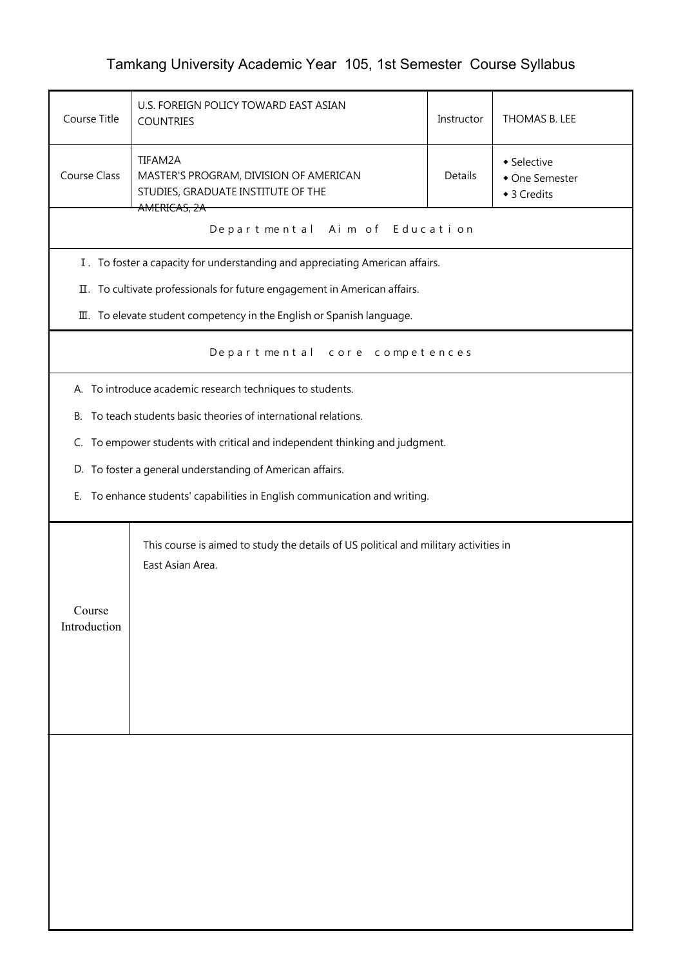## Tamkang University Academic Year 105, 1st Semester Course Syllabus

| Course Title                     | U.S. FOREIGN POLICY TOWARD EAST ASIAN<br><b>COUNTRIES</b>                                                | Instructor | THOMAS B. LEE                                |
|----------------------------------|----------------------------------------------------------------------------------------------------------|------------|----------------------------------------------|
| Course Class                     | TIFAM2A<br>MASTER'S PROGRAM, DIVISION OF AMERICAN<br>STUDIES, GRADUATE INSTITUTE OF THE                  | Details    | • Selective<br>• One Semester<br>◆ 3 Credits |
|                                  | AMERICAS, 2A<br>Departmental Aim of Education                                                            |            |                                              |
|                                  | I. To foster a capacity for understanding and appreciating American affairs.                             |            |                                              |
|                                  | II. To cultivate professionals for future engagement in American affairs.                                |            |                                              |
|                                  | III. To elevate student competency in the English or Spanish language.                                   |            |                                              |
| Departmental<br>core competences |                                                                                                          |            |                                              |
|                                  | A. To introduce academic research techniques to students.                                                |            |                                              |
|                                  | B. To teach students basic theories of international relations.                                          |            |                                              |
|                                  | C. To empower students with critical and independent thinking and judgment.                              |            |                                              |
|                                  | D. To foster a general understanding of American affairs.                                                |            |                                              |
| Е.                               | To enhance students' capabilities in English communication and writing.                                  |            |                                              |
| Course                           | This course is aimed to study the details of US political and military activities in<br>East Asian Area. |            |                                              |
| Introduction                     |                                                                                                          |            |                                              |
|                                  |                                                                                                          |            |                                              |
|                                  |                                                                                                          |            |                                              |
|                                  |                                                                                                          |            |                                              |
|                                  |                                                                                                          |            |                                              |
|                                  |                                                                                                          |            |                                              |
|                                  |                                                                                                          |            |                                              |
|                                  |                                                                                                          |            |                                              |
|                                  |                                                                                                          |            |                                              |
|                                  |                                                                                                          |            |                                              |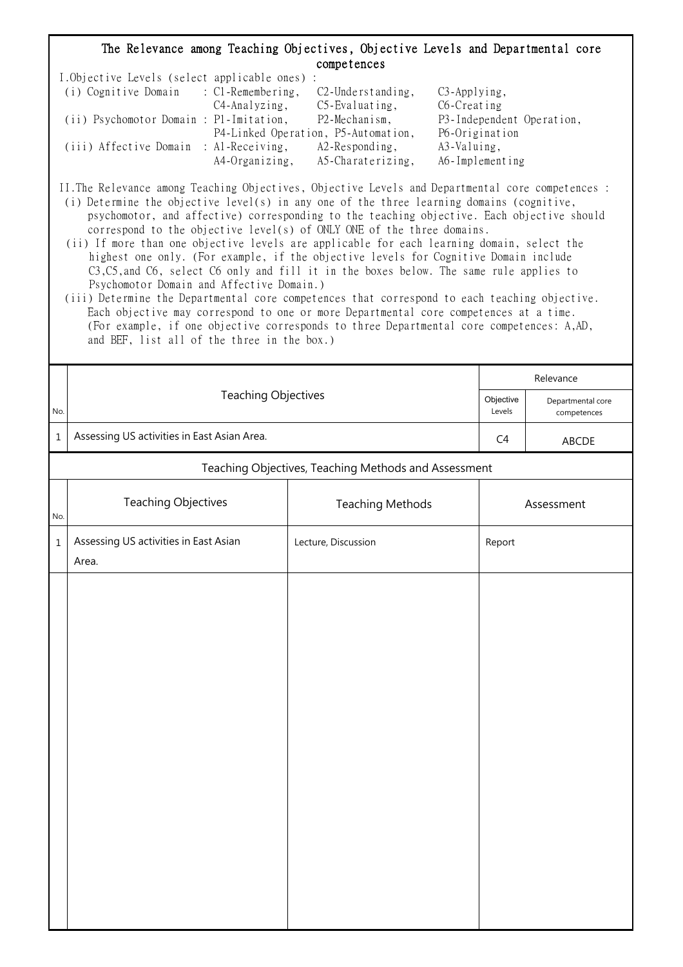## The Relevance among Teaching Objectives, Objective Levels and Departmental core competences

| I.Objective Levels (select applicable ones) : |                |                                     |                           |
|-----------------------------------------------|----------------|-------------------------------------|---------------------------|
| (i) Cognitive Domain : C1-Remembering,        |                | $C2$ -Understanding,                | $C3$ -Applying,           |
|                                               | C4-Analyzing,  | $C5$ -Evaluating,                   | C6-Creating               |
| (ii) Psychomotor Domain : P1-Imitation,       |                | P2-Mechanism,                       | P3-Independent Operation, |
|                                               |                | P4-Linked Operation, P5-Automation, | P6-Origination            |
| (iii) Affective Domain : Al-Receiving,        |                | $A2$ -Responding,                   | A3-Valuing,               |
|                                               | A4-Organizing, | A5-Charaterizing,                   | A6-Implementing           |

II.The Relevance among Teaching Objectives, Objective Levels and Departmental core competences :

- (i) Determine the objective level(s) in any one of the three learning domains (cognitive, psychomotor, and affective) corresponding to the teaching objective. Each objective should correspond to the objective level(s) of ONLY ONE of the three domains.
- (ii) If more than one objective levels are applicable for each learning domain, select the highest one only. (For example, if the objective levels for Cognitive Domain include C3,C5,and C6, select C6 only and fill it in the boxes below. The same rule applies to Psychomotor Domain and Affective Domain.)
- (iii) Determine the Departmental core competences that correspond to each teaching objective. Each objective may correspond to one or more Departmental core competences at a time. (For example, if one objective corresponds to three Departmental core competences: A,AD, and BEF, list all of the three in the box.)

|         |                                                      | Relevance               |            |                                  |
|---------|------------------------------------------------------|-------------------------|------------|----------------------------------|
| No.     | <b>Teaching Objectives</b>                           |                         |            | Departmental core<br>competences |
| $\,1\,$ | Assessing US activities in East Asian Area.          | C4                      | ABCDE      |                                  |
|         | Teaching Objectives, Teaching Methods and Assessment |                         |            |                                  |
| No.     | <b>Teaching Objectives</b>                           | <b>Teaching Methods</b> | Assessment |                                  |
| $\,1\,$ | Assessing US activities in East Asian<br>Area.       | Lecture, Discussion     | Report     |                                  |
|         |                                                      |                         |            |                                  |
|         |                                                      |                         |            |                                  |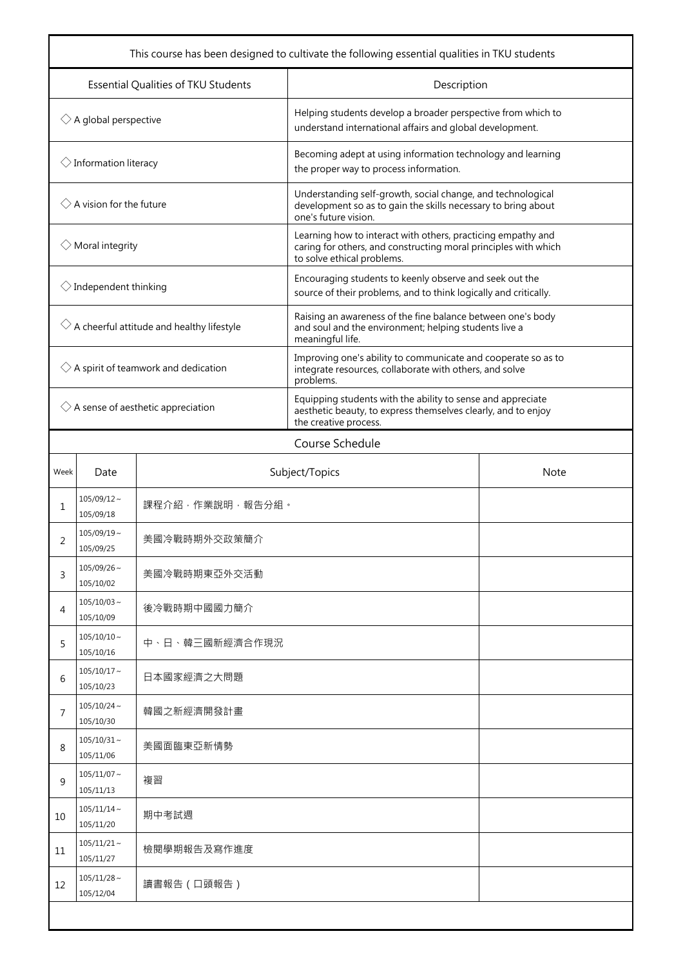| This course has been designed to cultivate the following essential qualities in TKU students |                                    |                               |                                                                                                                                                               |  |  |
|----------------------------------------------------------------------------------------------|------------------------------------|-------------------------------|---------------------------------------------------------------------------------------------------------------------------------------------------------------|--|--|
| Essential Qualities of TKU Students                                                          |                                    |                               | Description                                                                                                                                                   |  |  |
| $\Diamond$ A global perspective                                                              |                                    |                               | Helping students develop a broader perspective from which to<br>understand international affairs and global development.                                      |  |  |
|                                                                                              | $\Diamond$ Information literacy    |                               | Becoming adept at using information technology and learning<br>the proper way to process information.                                                         |  |  |
|                                                                                              | $\Diamond$ A vision for the future |                               | Understanding self-growth, social change, and technological<br>development so as to gain the skills necessary to bring about<br>one's future vision.          |  |  |
| $\Diamond$ Moral integrity                                                                   |                                    |                               | Learning how to interact with others, practicing empathy and<br>caring for others, and constructing moral principles with which<br>to solve ethical problems. |  |  |
| $\Diamond$ Independent thinking                                                              |                                    |                               | Encouraging students to keenly observe and seek out the<br>source of their problems, and to think logically and critically.                                   |  |  |
| $\Diamond$ A cheerful attitude and healthy lifestyle                                         |                                    |                               | Raising an awareness of the fine balance between one's body<br>and soul and the environment; helping students live a<br>meaningful life.                      |  |  |
| $\Diamond$ A spirit of teamwork and dedication                                               |                                    |                               | Improving one's ability to communicate and cooperate so as to<br>integrate resources, collaborate with others, and solve<br>problems.                         |  |  |
| $\Diamond$ A sense of aesthetic appreciation                                                 |                                    |                               | Equipping students with the ability to sense and appreciate<br>aesthetic beauty, to express themselves clearly, and to enjoy<br>the creative process.         |  |  |
|                                                                                              | Course Schedule                    |                               |                                                                                                                                                               |  |  |
| Week                                                                                         | Date                               | Subject/Topics<br><b>Note</b> |                                                                                                                                                               |  |  |
| 1                                                                                            | $105/09/12$ ~<br>105/09/18         | 課程介紹,作業說明,報告分組。               |                                                                                                                                                               |  |  |
| 2                                                                                            | $105/09/19$ ~<br>105/09/25         | 美國冷戰時期外交政策簡介                  |                                                                                                                                                               |  |  |
| 3                                                                                            | $105/09/26$ ~<br>105/10/02         | 美國冷戰時期東亞外交活動                  |                                                                                                                                                               |  |  |
| 4                                                                                            | $105/10/03 \sim$<br>105/10/09      | 後冷戰時期中國國力簡介                   |                                                                                                                                                               |  |  |
| 5                                                                                            | $105/10/10 \sim$<br>105/10/16      | 中、日、韓三國新經濟合作現況                |                                                                                                                                                               |  |  |
| 6                                                                                            | $105/10/17$ ~<br>105/10/23         | 日本國家經濟之大問題                    |                                                                                                                                                               |  |  |
| 7                                                                                            | $105/10/24$ ~<br>105/10/30         | 韓國之新經濟開發計畫                    |                                                                                                                                                               |  |  |
| 8                                                                                            | $105/10/31$ ~<br>105/11/06         | 美國面臨東亞新情勢                     |                                                                                                                                                               |  |  |
| 9                                                                                            | $105/11/07$ ~<br>105/11/13         | 複習                            |                                                                                                                                                               |  |  |
| 10                                                                                           | $105/11/14 \sim$<br>105/11/20      | 期中考試週                         |                                                                                                                                                               |  |  |
| 11                                                                                           | $105/11/21$ ~<br>105/11/27         | 檢閱學期報告及寫作進度                   |                                                                                                                                                               |  |  |
| 12                                                                                           | $105/11/28$ ~<br>105/12/04         | 讀書報告 (口頭報告)                   |                                                                                                                                                               |  |  |
|                                                                                              |                                    |                               |                                                                                                                                                               |  |  |